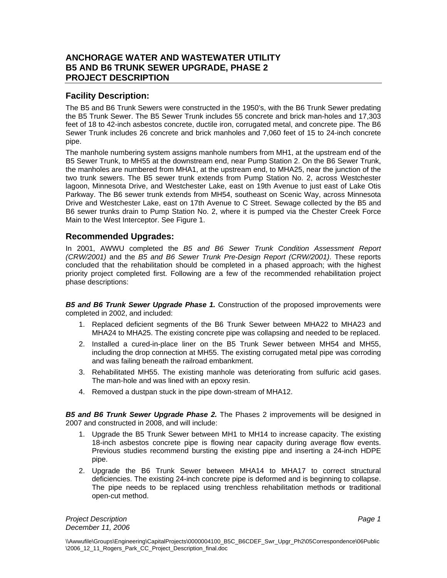## **ANCHORAGE WATER AND WASTEWATER UTILITY B5 AND B6 TRUNK SEWER UPGRADE, PHASE 2 PROJECT DESCRIPTION**

## **Facility Description:**

The B5 and B6 Trunk Sewers were constructed in the 1950's, with the B6 Trunk Sewer predating the B5 Trunk Sewer. The B5 Sewer Trunk includes 55 concrete and brick man-holes and 17,303 feet of 18 to 42-inch asbestos concrete, ductile iron, corrugated metal, and concrete pipe. The B6 Sewer Trunk includes 26 concrete and brick manholes and 7,060 feet of 15 to 24-inch concrete pipe.

The manhole numbering system assigns manhole numbers from MH1, at the upstream end of the B5 Sewer Trunk, to MH55 at the downstream end, near Pump Station 2. On the B6 Sewer Trunk, the manholes are numbered from MHA1, at the upstream end, to MHA25, near the junction of the two trunk sewers. The B5 sewer trunk extends from Pump Station No. 2, across Westchester lagoon, Minnesota Drive, and Westchester Lake, east on 19th Avenue to just east of Lake Otis Parkway. The B6 sewer trunk extends from MH54, southeast on Scenic Way, across Minnesota Drive and Westchester Lake, east on 17th Avenue to C Street. Sewage collected by the B5 and B6 sewer trunks drain to Pump Station No. 2, where it is pumped via the Chester Creek Force Main to the West Interceptor. See Figure 1.

## **Recommended Upgrades:**

In 2001, AWWU completed the *B5 and B6 Sewer Trunk Condition Assessment Report (CRW/2001)* and the *B5 and B6 Sewer Trunk Pre-Design Report (CRW/2001)*. These reports concluded that the rehabilitation should be completed in a phased approach; with the highest priority project completed first. Following are a few of the recommended rehabilitation project phase descriptions:

*B5 and B6 Trunk Sewer Upgrade Phase 1.* Construction of the proposed improvements were completed in 2002, and included:

- 1. Replaced deficient segments of the B6 Trunk Sewer between MHA22 to MHA23 and MHA24 to MHA25. The existing concrete pipe was collapsing and needed to be replaced.
- 2. Installed a cured-in-place liner on the B5 Trunk Sewer between MH54 and MH55, including the drop connection at MH55. The existing corrugated metal pipe was corroding and was failing beneath the railroad embankment.
- 3. Rehabilitated MH55. The existing manhole was deteriorating from sulfuric acid gases. The man-hole and was lined with an epoxy resin.
- 4. Removed a dustpan stuck in the pipe down-stream of MHA12.

*B5 and B6 Trunk Sewer Upgrade Phase 2.* The Phases 2 improvements will be designed in 2007 and constructed in 2008, and will include:

- 1. Upgrade the B5 Trunk Sewer between MH1 to MH14 to increase capacity. The existing 18-inch asbestos concrete pipe is flowing near capacity during average flow events. Previous studies recommend bursting the existing pipe and inserting a 24-inch HDPE pipe.
- 2. Upgrade the B6 Trunk Sewer between MHA14 to MHA17 to correct structural deficiencies. The existing 24-inch concrete pipe is deformed and is beginning to collapse. The pipe needs to be replaced using trenchless rehabilitation methods or traditional open-cut method.

**Project Description Project Description Page 1** *December 11, 2006*